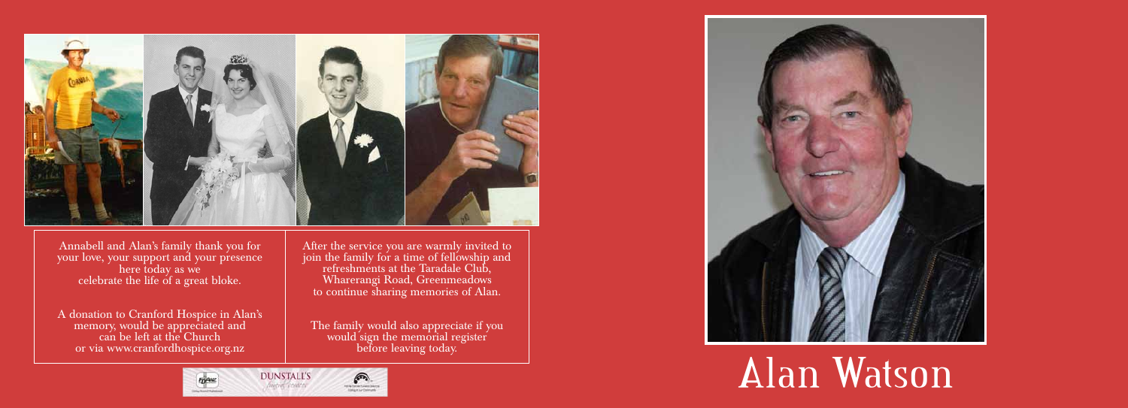



Annabell and Alan's family thank you for your love, your support and your presence here today as we celebrate the life of a great bloke.

A donation to Cranford Hospice in Alan's memory, would be appreciated and can be left at the Church or via www.cranfordhospice.org.nz

After the service you are warmly invited to join the family for a time of fellowship and refreshments at the Taradale Club, Wharerangi Road, Greenmeadows to continue sharing memories of Alan.

The family would also appreciate if you would sign the memorial register before leaving today.